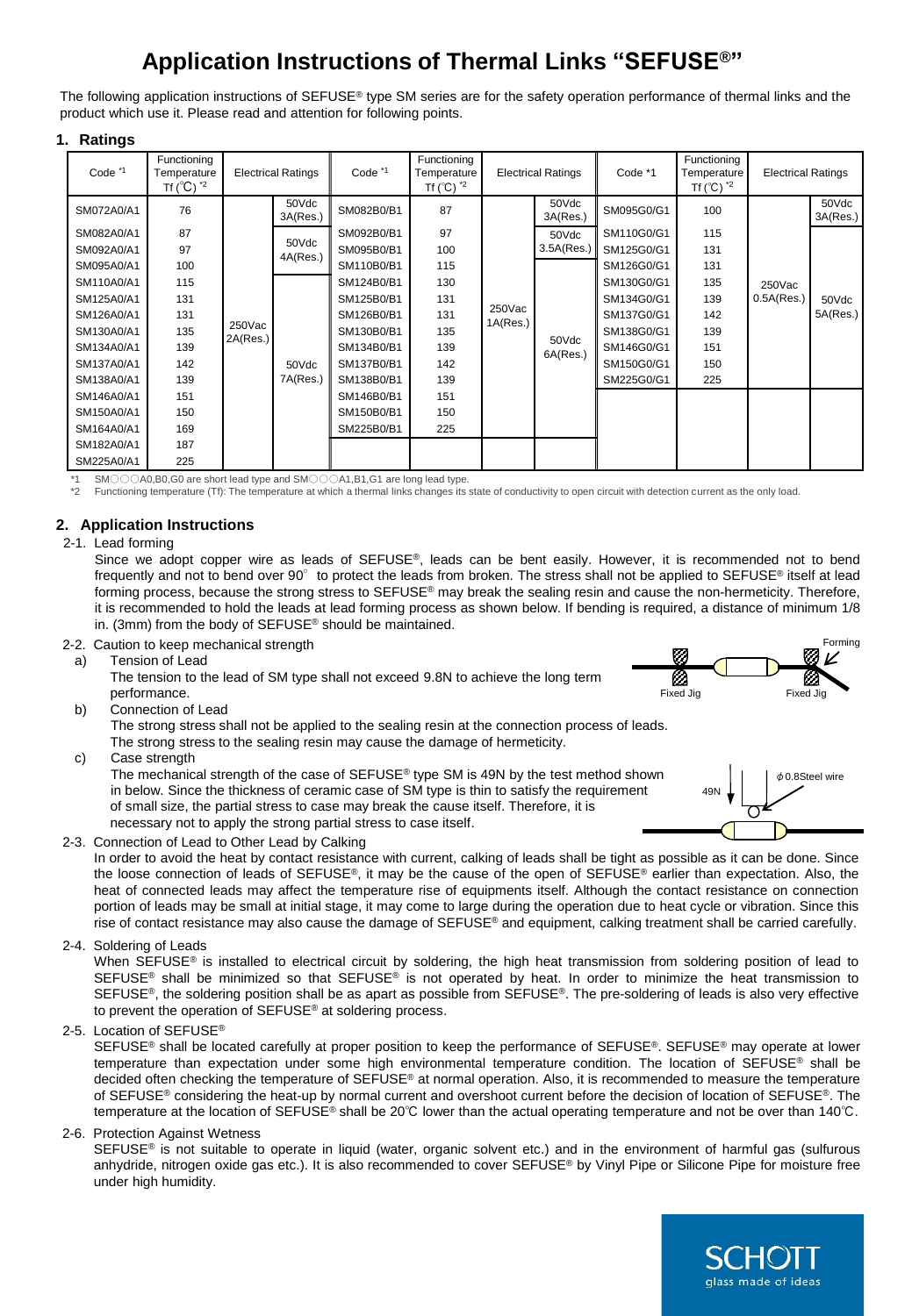# **Application Instructions of Thermal Links "SEFUSE®"**

The following application instructions of SEFUSE® type SM series are for the safety operation performance of thermal links and the product which use it. Please read and attention for following points.

## **1. Ratings**

| Code <sup>*1</sup> | Functioning<br>Temperature   |                    | <b>Electrical Ratings</b> | Code <sup>*1</sup> | Functioning<br>Temperature                 |                    | <b>Electrical Ratings</b>       | Code *1    | Functioning<br>Temperature                 | <b>Electrical Ratings</b> |                   |
|--------------------|------------------------------|--------------------|---------------------------|--------------------|--------------------------------------------|--------------------|---------------------------------|------------|--------------------------------------------|---------------------------|-------------------|
|                    | Tf $(^{\circ}C)$ $^{\star}2$ |                    |                           |                    | Tf ( $^{\circ}$ C) $^{\star}$ <sup>2</sup> |                    |                                 |            | Tf ( $^{\circ}$ C) $^{\star}$ <sup>2</sup> |                           |                   |
| SM072A0/A1         | 76                           |                    | 50Vdc<br>3A(Res.)         | SM082B0/B1         | 87                                         | 250Vac<br>1A(Res.) | 50Vdc<br>3A(Res.)               | SM095G0/G1 | 100                                        | $250$ Vac<br>0.5A(Res.)   | 50Vdc<br>3A(Res.) |
| SM082A0/A1         | 87                           |                    | 50Vdc<br>4A(Res.)         | SM092B0/B1         | 97                                         |                    | 50Vdc                           | SM110G0/G1 | 115                                        |                           |                   |
| SM092A0/A1         | 97                           |                    |                           | SM095B0/B1         | 100                                        |                    | 3.5A(Res.)<br>50Vdc<br>6A(Res.) | SM125G0/G1 | 131                                        |                           | 50Vdc<br>5A(Res.) |
| SM095A0/A1         | 100                          | 250Vac<br>2A(Res.) |                           | SM110B0/B1         | 115                                        |                    |                                 | SM126G0/G1 | 131                                        |                           |                   |
| SM110A0/A1         | 115                          |                    |                           | SM124B0/B1         | 130                                        |                    |                                 | SM130G0/G1 | 135                                        |                           |                   |
| SM125A0/A1         | 131                          |                    |                           | SM125B0/B1         | 131                                        |                    |                                 | SM134G0/G1 | 139                                        |                           |                   |
| SM126A0/A1         | 131                          |                    | 50Vdc<br>7A(Res.)         | SM126B0/B1         | 131                                        |                    |                                 | SM137G0/G1 | 142                                        |                           |                   |
| SM130A0/A1         | 135                          |                    |                           | SM130B0/B1         | 135                                        |                    |                                 | SM138G0/G1 | 139                                        |                           |                   |
| SM134A0/A1         | 139                          |                    |                           | SM134B0/B1         | 139                                        |                    |                                 | SM146G0/G1 | 151                                        |                           |                   |
| SM137A0/A1         | 142                          |                    |                           | SM137B0/B1         | 142                                        |                    |                                 | SM150G0/G1 | 150                                        |                           |                   |
| SM138A0/A1         | 139                          |                    |                           | SM138B0/B1         | 139                                        |                    |                                 | SM225G0/G1 | 225                                        |                           |                   |
| SM146A0/A1         | 151                          |                    |                           | SM146B0/B1         | 151                                        |                    |                                 |            |                                            |                           |                   |
| SM150A0/A1         | 150                          |                    |                           | SM150B0/B1         | 150                                        |                    |                                 |            |                                            |                           |                   |
| SM164A0/A1         | 169                          |                    |                           | SM225B0/B1         | 225                                        |                    |                                 |            |                                            |                           |                   |
| SM182A0/A1         | 187                          |                    |                           |                    |                                            |                    |                                 |            |                                            |                           |                   |
| SM225A0/A1         | 225                          |                    |                           |                    |                                            |                    |                                 |            |                                            |                           |                   |

SM○○○A0,B0,G0 are short lead type and SM○○○A1,B1,G1 are long lead type.

Functioning temperature (Tf): The temperature at which a thermal links changes its state of conductivity to open circuit with detection current as the only load.

## **2. Application Instructions**

## 2-1. Lead forming

Since we adopt copper wire as leads of SEFUSE®, leads can be bent easily. However, it is recommended not to bend frequently and not to bend over 90° to protect the leads from broken. The stress shall not be applied to SEFUSE® itself at lead forming process, because the strong stress to SEFUSE® may break the sealing resin and cause the non-hermeticity. Therefore, it is recommended to hold the leads at lead forming process as shown below. If bending is required, a distance of minimum 1/8 in. (3mm) from the body of SEFUSE® should be maintained.

## 2-2. Caution to keep mechanical strength

a) Tension of Lead

The tension to the lead of SM type shall not exceed 9.8N to achieve the long term performance.

b) Connection of Lead

The strong stress shall not be applied to the sealing resin at the connection process of leads.

The strong stress to the sealing resin may cause the damage of hermeticity.

c) Case strength

The mechanical strength of the case of SEFUSE® type SM is 49N by the test method shown in below. Since the thickness of ceramic case of SM type is thin to satisfy the requirement of small size, the partial stress to case may break the cause itself. Therefore, it is necessary not to apply the strong partial stress to case itself.



Forming

Fixed Jig Fixed Jig

2-3. Connection of Lead to Other Lead by Calking

In order to avoid the heat by contact resistance with current, calking of leads shall be tight as possible as it can be done. Since the loose connection of leads of SEFUSE<sup>®</sup>, it may be the cause of the open of SEFUSE® earlier than expectation. Also, the heat of connected leads may affect the temperature rise of equipments itself. Although the contact resistance on connection portion of leads may be small at initial stage, it may come to large during the operation due to heat cycle or vibration. Since this rise of contact resistance may also cause the damage of SEFUSE® and equipment, calking treatment shall be carried carefully.

2-4. Soldering of Leads

When SEFUSE® is installed to electrical circuit by soldering, the high heat transmission from soldering position of lead to SEFUSE<sup>®</sup> shall be minimized so that SEFUSE<sup>®</sup> is not operated by heat. In order to minimize the heat transmission to SEFUSE<sup>®</sup>, the soldering position shall be as apart as possible from SEFUSE®. The pre-soldering of leads is also very effective to prevent the operation of SEFUSE® at soldering process.

2-5. Location of SEFUSE®

SEFUSE® shall be located carefully at proper position to keep the performance of SEFUSE®. SEFUSE® may operate at lower temperature than expectation under some high environmental temperature condition. The location of SEFUSE® shall be decided often checking the temperature of SEFUSE® at normal operation. Also, it is recommended to measure the temperature of SEFUSE® considering the heat-up by normal current and overshoot current before the decision of location of SEFUSE®. The temperature at the location of SEFUSE® shall be 20℃ lower than the actual operating temperature and not be over than 140℃.

## 2-6. Protection Against Wetness

SEFUSE<sup>®</sup> is not suitable to operate in liquid (water, organic solvent etc.) and in the environment of harmful gas (sulfurous anhydride, nitrogen oxide gas etc.). It is also recommended to cover SEFUSE® by Vinyl Pipe or Silicone Pipe for moisture free under high humidity.

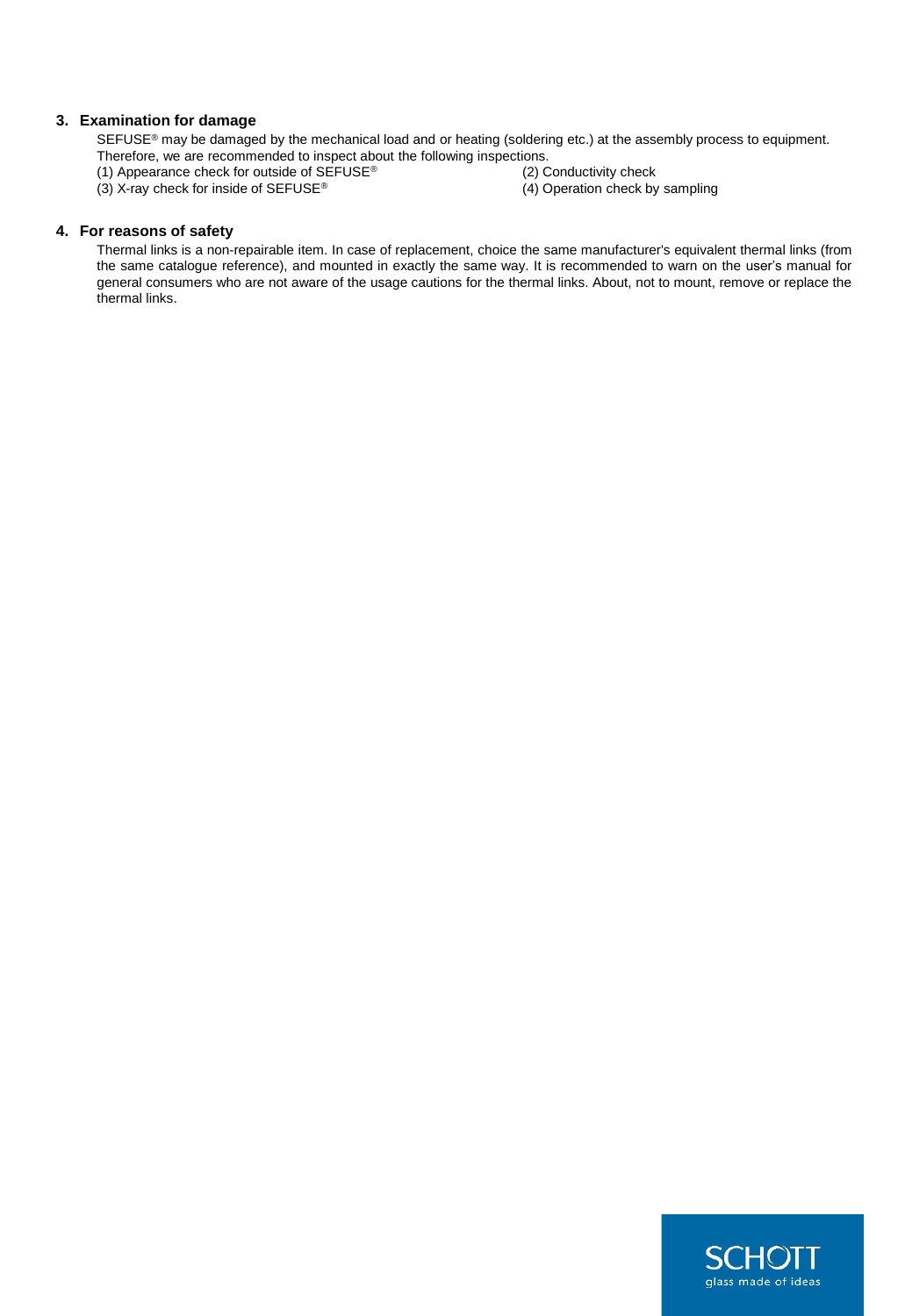## **3. Examination for damage**

SEFUSE<sup>®</sup> may be damaged by the mechanical load and or heating (soldering etc.) at the assembly process to equipment.

- Therefore, we are recommended to inspect about the following inspections.<br>(1) Appearance check for outside of SEFUSE® (2) Conductivity check (1) Appearance check for outside of  $S$ EFUSE®
- 
- 
- (3) X-ray check for inside of SEFUSE® (4) Operation check by sampling

## **4. For reasons of safety**

Thermal links is a non-repairable item. In case of replacement, choice the same manufacturer's equivalent thermal links (from the same catalogue reference), and mounted in exactly the same way. It is recommended to warn on the user's manual for general consumers who are not aware of the usage cautions for the thermal links. About, not to mount, remove or replace the thermal links.

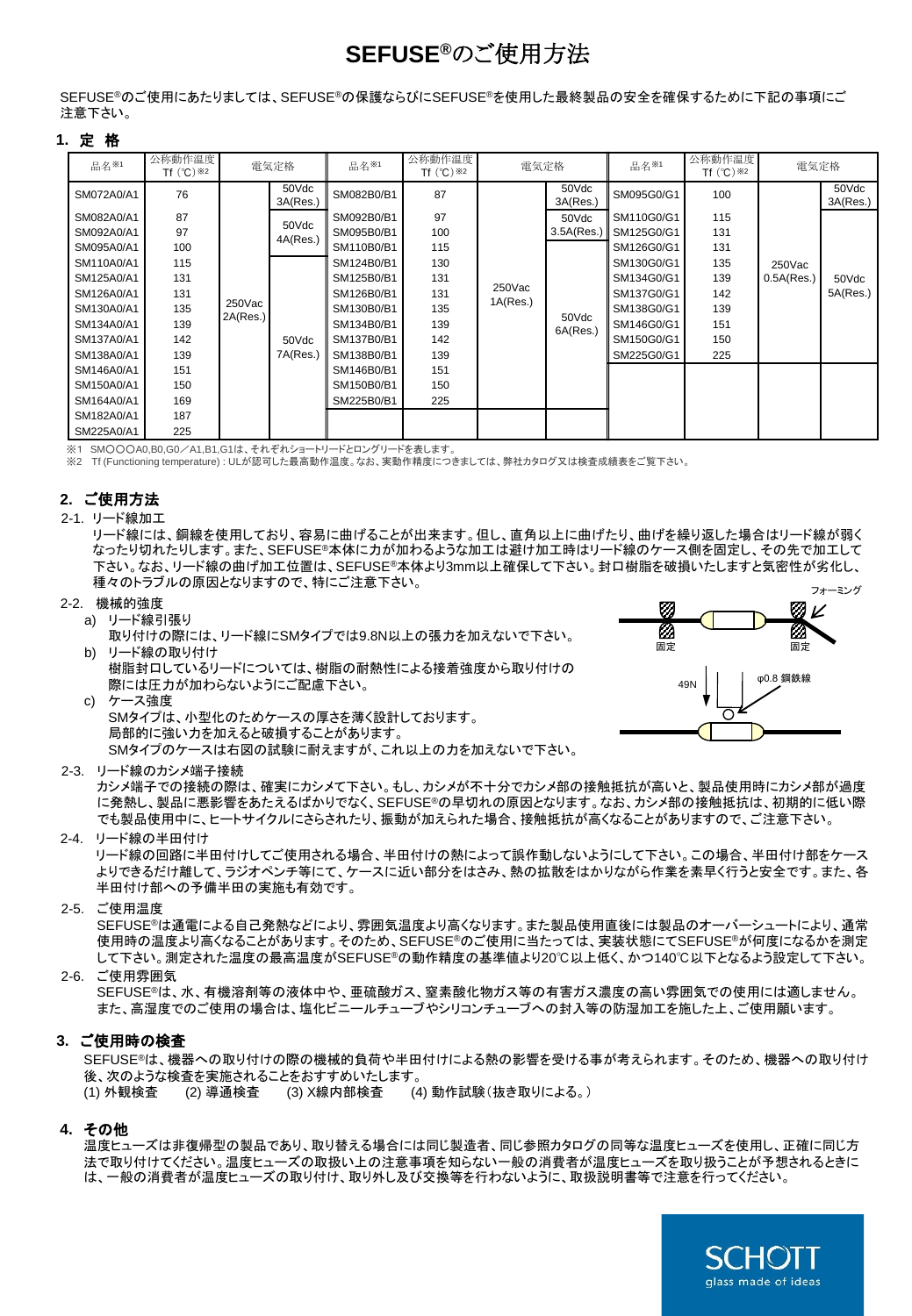# **SEFUSE®**のご使用方法

SEFUSE®のご使用にあたりましては、SEFUSE®の保護ならびにSEFUSE®を使用した最終製品の安全を確保するために下記の事項にご 注意下さい。

## **1.** 定 格

| 品名※1       | 公称動作温度<br>Tf $(^{\circ}C)$ $*2$ | 電気定格               |                                        | 品名※1       | 公称動作温度<br>Tf $(^{\circ}C)$ $*2$ | 電気定格               |                   | 品名※1       | 公称動作温度<br>Tf $(^{\circ}C)$ $*2$ | 電気定格                 |                   |  |  |  |  |  |
|------------|---------------------------------|--------------------|----------------------------------------|------------|---------------------------------|--------------------|-------------------|------------|---------------------------------|----------------------|-------------------|--|--|--|--|--|
| SM072A0/A1 | 76                              |                    | 50Vdc<br>3A(Res.)                      | SM082B0/B1 | 87                              |                    | 50Vdc<br>3A(Res.) | SM095G0/G1 | 100                             | 250Vac<br>0.5A(Res.) | 50Vdc<br>3A(Res.) |  |  |  |  |  |
| SM082A0/A1 | 87                              |                    | 50Vdc<br>4A(Res.)<br>50Vdc<br>7A(Res.) | SM092B0/B1 | 97                              |                    | 50Vdc             | SM110G0/G1 | 115                             |                      |                   |  |  |  |  |  |
| SM092A0/A1 | 97                              | 250Vac<br>2A(Res.) |                                        | SM095B0/B1 | 100                             | 250Vac<br>1A(Res.) | 3.5A(Res.)        | SM125G0/G1 | 131                             |                      | 50Vdc<br>5A(Res.) |  |  |  |  |  |
| SM095A0/A1 | 100                             |                    |                                        | SM110B0/B1 | 115                             |                    | 50Vdc<br>6A(Res.) | SM126G0/G1 | 131                             |                      |                   |  |  |  |  |  |
| SM110A0/A1 | 115                             |                    |                                        | SM124B0/B1 | 130                             |                    |                   | SM130G0/G1 | 135                             |                      |                   |  |  |  |  |  |
| SM125A0/A1 | 131                             |                    |                                        | SM125B0/B1 | 131                             |                    |                   | SM134G0/G1 | 139                             |                      |                   |  |  |  |  |  |
| SM126A0/A1 | 131                             |                    |                                        | SM126B0/B1 | 131                             |                    |                   | SM137G0/G1 | 142                             |                      |                   |  |  |  |  |  |
| SM130A0/A1 | 135                             |                    |                                        | SM130B0/B1 | 135                             |                    |                   | SM138G0/G1 | 139                             |                      |                   |  |  |  |  |  |
| SM134A0/A1 | 139                             |                    |                                        | SM134B0/B1 | 139                             |                    |                   | SM146G0/G1 | 151                             |                      |                   |  |  |  |  |  |
| SM137A0/A1 | 142                             |                    |                                        | SM137B0/B1 | 142                             |                    |                   | SM150G0/G1 | 150                             |                      |                   |  |  |  |  |  |
| SM138A0/A1 | 139                             |                    |                                        | SM138B0/B1 | 139                             |                    |                   | SM225G0/G1 | 225                             |                      |                   |  |  |  |  |  |
| SM146A0/A1 | 151                             |                    |                                        | SM146B0/B1 | 151                             |                    |                   |            |                                 |                      |                   |  |  |  |  |  |
| SM150A0/A1 | 150                             |                    |                                        | SM150B0/B1 | 150                             |                    |                   |            |                                 |                      |                   |  |  |  |  |  |
| SM164A0/A1 | 169                             |                    |                                        | SM225B0/B1 | 225                             |                    |                   |            |                                 |                      |                   |  |  |  |  |  |
| SM182A0/A1 | 187                             |                    |                                        |            |                                 |                    |                   |            |                                 |                      |                   |  |  |  |  |  |
| SM225A0/A1 | 225                             |                    |                                        |            |                                 |                    |                   |            |                                 |                      |                   |  |  |  |  |  |

.<br>※1 SM○○△0.B0.G0/A1.B1.G1は、 それぞれショートリードとロングリードを表します。

※2 Tf (Functioning temperature) : ULが認可した最高動作温度。なお、実動作精度につきましては、弊社カタログ又は検査成績表をご覧下さい。

# **2.** ご使用方法

#### 2-1. リード線加工

リード線には、銅線を使用しており、容易に曲げることが出来ます。但し、直角以上に曲げたり、曲げを繰り返した場合はリード線が弱く なったり切れたりします。また、SEFUSE®本体に力が加わるような加工は避け加工時はリード線のケース側を固定し、その先で加工して 下さい。なお、リード線の曲げ加工位置は、SEFUSE®本体より3mm以上確保して下さい。封口樹脂を破損いたしますと気密性が劣化し、 種々のトラブルの原因となりますので、特にご注意下さい。 フォーミング

#### 2-2. 機械的強度

## a) リード線引張り

- 取り付けの際には、リード線にSMタイプでは9.8N以上の張力を加えないで下さい。 b) リード線の取り付け
	- 樹脂封口しているリードについては、樹脂の耐熱性による接着強度から取り付けの 際には圧力が加わらないようにご配慮下さい。



c) ケース強度

SMタイプは、小型化のためケースの厚さを薄く設計しております。 局部的に強い力を加えると破損することがあります。

SMタイプのケースは右図の試験に耐えますが、これ以上の力を加えないで下さい。

2-3. リード線のカシメ端子接続

カシメ端子での接続の際は、確実にカシメて下さい。もし、カシメが不十分でカシメ部の接触抵抗が高いと、製品使用時にカシメ部が過度 に発熱し、製品に悪影響をあたえるばかりでなく、SEFUSE®の早切れの原因となります。なお、カシメ部の接触抵抗は、初期的に低い際 でも製品使用中に、ヒートサイクルにさらされたり、振動が加えられた場合、接触抵抗が高くなることがありますので、ご注意下さい。

2-4. リード線の半田付け

リード線の回路に半田付けしてご使用される場合、半田付けの熱によって誤作動しないようにして下さい。この場合、半田付け部をケース よりできるだけ離して、ラジオペンチ等にて、ケースに近い部分をはさみ、熱の拡散をはかりながら作業を素早く行うと安全です。また、各 半田付け部への予備半田の実施も有効です。

#### 2-5. ご使用温度

SEFUSE®は通電による自己発熱などにより、雰囲気温度より高くなります。また製品使用直後には製品のオーバーシュートにより、通常 使用時の温度より高くなることがあります。そのため、SEFUSE®のご使用に当たっては、実装状態にてSEFUSE®が何度になるかを測定 して下さい。測定された温度の最高温度がSEFUSE®の動作精度の基準値より20℃以上低く、かつ140℃以下となるよう設定して下さい。

## 2-6. ご使用雰囲気

SEFUSE®は、水、有機溶剤等の液体中や、亜硫酸ガス、窒素酸化物ガス等の有害ガス濃度の高い雰囲気での使用には適しません。 また、高湿度でのご使用の場合は、塩化ビニールチューブやシリコンチューブへの封入等の防湿加工を施した上、ご使用願います。

## **3.** ご使用時の検査

SEFUSE®は、機器への取り付けの際の機械的負荷や半田付けによる熱の影響を受ける事が考えられます。そのため、機器への取り付け 後、次のような検査を実施されることをおすすめいたします。

(1) 外観検査 (2) 導通検査 (3) X線内部検査 (4) 動作試験(抜き取りによる。)

## **4.** その他

温度ヒューズは非復帰型の製品であり、取り替える場合には同じ製造者、同じ参照カタログの同等な温度ヒューズを使用し、正確に同じ方 法で取り付けてください。温度ヒューズの取扱い上の注意事項を知らない一般の消費者が温度ヒューズを取り扱うことが予想されるときに は、一般の消費者が温度ヒューズの取り付け、取り外し及び交換等を行わないように、取扱説明書等で注意を行ってください。